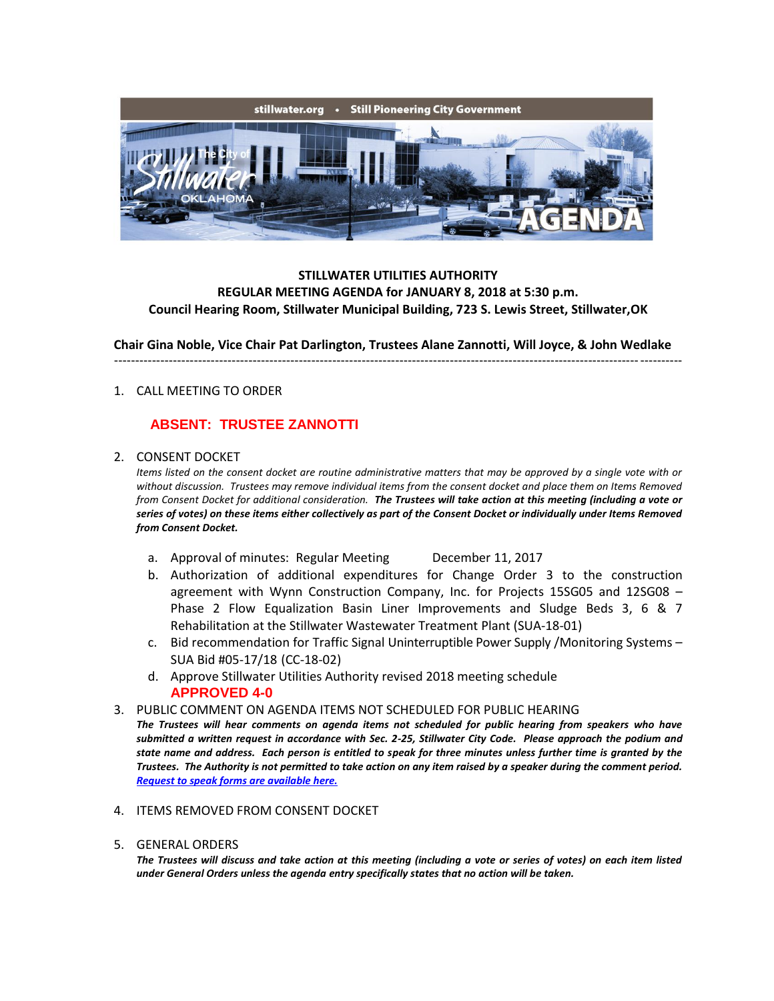

## **STILLWATER UTILITIES AUTHORITY REGULAR MEETING AGENDA for JANUARY 8, 2018 at 5:30 p.m. Council Hearing Room, Stillwater Municipal Building, 723 S. Lewis Street, Stillwater,OK**

**Chair Gina Noble, Vice Chair Pat Darlington, Trustees Alane Zannotti, Will Joyce, & John Wedlake**

---------------------------------------------------------------------------------------------------------------------------------------

### 1. CALL MEETING TO ORDER

## **ABSENT: TRUSTEE ZANNOTTI**

#### 2. CONSENT DOCKET

*Items listed on the consent docket are routine administrative matters that may be approved by a single vote with or without discussion. Trustees may remove individual items from the consent docket and place them on Items Removed from Consent Docket for additional consideration. The Trustees will take action at this meeting (including a vote or series of votes) on these items either collectively as part of the Consent Docket or individually under Items Removed from Consent Docket.*

- a. Approval of minutes: Regular Meeting December 11, 2017
- b. Authorization of additional expenditures for Change Order 3 to the construction agreement with Wynn Construction Company, Inc. for Projects 15SG05 and 12SG08 – Phase 2 Flow Equalization Basin Liner Improvements and Sludge Beds 3, 6 & 7 Rehabilitation at the Stillwater Wastewater Treatment Plant (SUA-18-01)
- c. Bid recommendation for Traffic Signal Uninterruptible Power Supply /Monitoring Systems SUA Bid #05-17/18 (CC-18-02)
- d. Approve Stillwater Utilities Authority revised 2018 meeting schedule **APPROVED 4-0**
- 3. PUBLIC COMMENT ON AGENDA ITEMS NOT SCHEDULED FOR PUBLIC HEARING

*The Trustees will hear comments on agenda items not scheduled for public hearing from speakers who have submitted a written request in accordance with Sec. 2-25, Stillwater City Code. Please approach the podium and state name and address. Each person is entitled to speak for three minutes unless further time is granted by the Trustees. The Authority is not permitted to take action on any item raised by a speaker during the comment period. [Request to speak forms are available here.](http://stillwater.org/document/request_to_speak_at_city_council.php)*

- 4. ITEMS REMOVED FROM CONSENT DOCKET
- 5. GENERAL ORDERS

*The Trustees will discuss and take action at this meeting (including a vote or series of votes) on each item listed under General Orders unless the agenda entry specifically states that no action will be taken.*